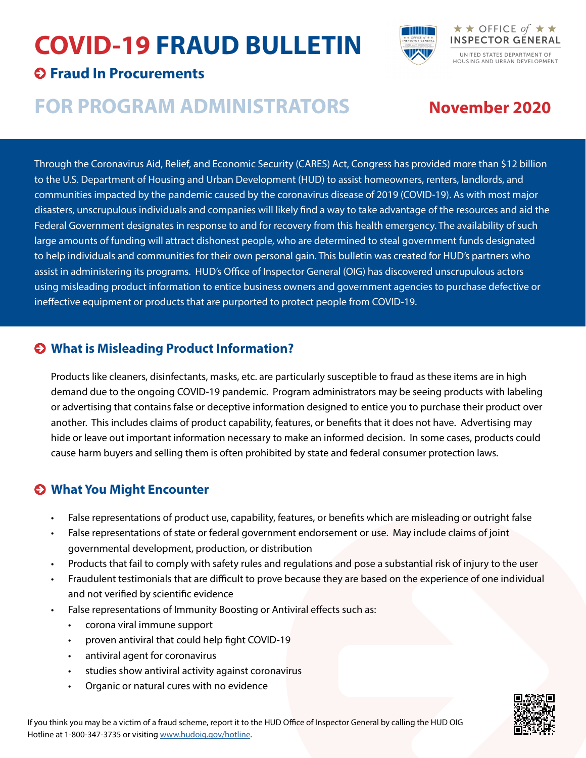## **COVID-19 FRAUD BULLETIN**



#### **Fraud In Procurements**

### **FOR PROGRAM ADMINISTRATORS**

### **November 2020**

Through the Coronavirus Aid, Relief, and Economic Security (CARES) Act, Congress has provided more than \$12 billion to the U.S. Department of Housing and Urban Development (HUD) to assist homeowners, renters, landlords, and communities impacted by the pandemic caused by the coronavirus disease of 2019 (COVID-19). As with most major disasters, unscrupulous individuals and companies will likely find a way to take advantage of the resources and aid the Federal Government designates in response to and for recovery from this health emergency. The availability of such large amounts of funding will attract dishonest people, who are determined to steal government funds designated to help individuals and communities for their own personal gain. This bulletin was created for HUD's partners who assist in administering its programs. HUD's Office of Inspector General (OIG) has discovered unscrupulous actors using misleading product information to entice business owners and government agencies to purchase defective or ineffective equipment or products that are purported to protect people from COVID-19.

#### **What is Misleading Product Information?**

Products like cleaners, disinfectants, masks, etc. are particularly susceptible to fraud as these items are in high demand due to the ongoing COVID-19 pandemic. Program administrators may be seeing products with labeling or advertising that contains false or deceptive information designed to entice you to purchase their product over another. This includes claims of product capability, features, or benefits that it does not have. Advertising may hide or leave out important information necessary to make an informed decision. In some cases, products could cause harm buyers and selling them is often prohibited by state and federal consumer protection laws.

#### **What You Might Encounter**

- False representations of product use, capability, features, or benefits which are misleading or outright false
- False representations of state or federal government endorsement or use. May include claims of joint governmental development, production, or distribution
- Products that fail to comply with safety rules and regulations and pose a substantial risk of injury to the user
- Fraudulent testimonials that are difficult to prove because they are based on the experience of one individual and not verified by scientific evidence
- False representations of Immunity Boosting or Antiviral effects such as:
	- corona viral immune support
	- proven antiviral that could help fight COVID-19
	- antiviral agent for coronavirus
	- studies show antiviral activity against coronavirus
	- Organic or natural cures with no evidence

If you think you may be a victim of a fraud scheme, report it to the HUD Office of Inspector General by calling the HUD OIG Hotline at 1-800-347-3735 or visiting [www.hudoig.gov/hotline.](https://www.hudoig.gov/hotline)